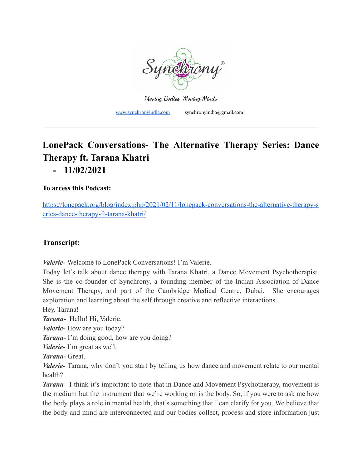

**Moving Bodies. Moving Minds**

[www.synchronyindia.com](http://www.synchronyindia.com) synchronyindia@gmail.com

## **LonePack Conversations- The Alternative Therapy Series: Dance Therapy ft. Tarana Khatri - 11/02/2021**

## **To access this Podcast:**

[https://lonepack.org/blog/index.php/2021/02/11/lonepack-conversations-the-alternative-therapy-s](https://lonepack.org/blog/index.php/2021/02/11/lonepack-conversations-the-alternative-therapy-series-dance-therapy-ft-tarana-khatri/) [eries-dance-therapy-ft-tarana-khatri/](https://lonepack.org/blog/index.php/2021/02/11/lonepack-conversations-the-alternative-therapy-series-dance-therapy-ft-tarana-khatri/)

## **Transcript:**

*Valerie-* Welcome to LonePack Conversations! I'm Valerie.

Today let's talk about dance therapy with Tarana Khatri, a Dance Movement Psychotherapist. She is the co-founder of Synchrony, a founding member of the Indian Association of Dance Movement Therapy, and part of the Cambridge Medical Centre, Dubai. She encourages exploration and learning about the self through creative and reflective interactions.

Hey, Tarana!

*Tarana-* Hello! Hi, Valerie.

*Valerie-* How are you today?

*Tarana-* I'm doing good, how are you doing?

*Valerie-* I'm great as well.

*Tarana-* Great.

*Valerie-* Tarana, why don't you start by telling us how dance and movement relate to our mental health?

*Tarana*– I think it's important to note that in Dance and Movement Psychotherapy, movement is the medium but the instrument that we're working on is the body. So, if you were to ask me how the body plays a role in mental health, that's something that I can clarify for you. We believe that the body and mind are interconnected and our bodies collect, process and store information just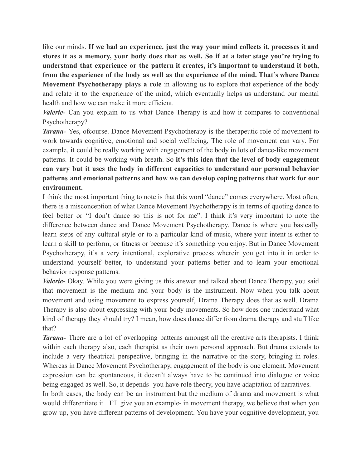like our minds. **If we had an experience, just the way your mind collects it, processes it and** stores it as a memory, your body does that as well. So if at a later stage you're trying to **understand that experience or the pattern it creates, it's important to understand it both, from the experience of the body as well as the experience of the mind. That's where Dance Movement Psychotherapy plays a role** in allowing us to explore that experience of the body and relate it to the experience of the mind, which eventually helps us understand our mental health and how we can make it more efficient.

*Valerie-* Can you explain to us what Dance Therapy is and how it compares to conventional Psychotherapy?

*Tarana-* Yes, ofcourse. Dance Movement Psychotherapy is the therapeutic role of movement to work towards cognitive, emotional and social wellbeing, The role of movement can vary. For example, it could be really working with engagement of the body in lots of dance-like movement patterns. It could be working with breath. So **it's this idea that the level of body engagement can vary but it uses the body in different capacities to understand our personal behavior patterns and emotional patterns and how we can develop coping patterns that work for our environment.**

I think the most important thing to note is that this word "dance" comes everywhere. Most often, there is a misconception of what Dance Movement Psychotherapy is in terms of quoting dance to feel better or "I don't dance so this is not for me". I think it's very important to note the difference between dance and Dance Movement Psychotherapy. Dance is where you basically learn steps of any cultural style or to a particular kind of music, where your intent is either to learn a skill to perform, or fitness or because it's something you enjoy. But in Dance Movement Psychotherapy, it's a very intentional, explorative process wherein you get into it in order to understand yourself better, to understand your patterns better and to learn your emotional behavior response patterns.

*Valerie-* Okay. While you were giving us this answer and talked about Dance Therapy, you said that movement is the medium and your body is the instrument. Now when you talk about movement and using movement to express yourself, Drama Therapy does that as well. Drama Therapy is also about expressing with your body movements. So how does one understand what kind of therapy they should try? I mean, how does dance differ from drama therapy and stuff like that?

*Tarana-* There are a lot of overlapping patterns amongst all the creative arts therapists. I think within each therapy also, each therapist as their own personal approach. But drama extends to include a very theatrical perspective, bringing in the narrative or the story, bringing in roles. Whereas in Dance Movement Psychotherapy, engagement of the body is one element. Movement expression can be spontaneous, it doesn't always have to be continued into dialogue or voice being engaged as well. So, it depends- you have role theory, you have adaptation of narratives.

In both cases, the body can be an instrument but the medium of drama and movement is what would differentiate it. I'll give you an example- in movement therapy, we believe that when you grow up, you have different patterns of development. You have your cognitive development, you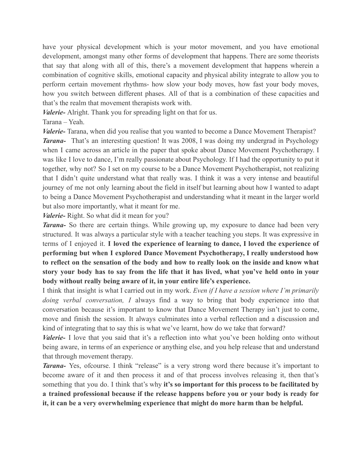have your physical development which is your motor movement, and you have emotional development, amongst many other forms of development that happens. There are some theorists that say that along with all of this, there's a movement development that happens wherein a combination of cognitive skills, emotional capacity and physical ability integrate to allow you to perform certain movement rhythms- how slow your body moves, how fast your body moves, how you switch between different phases. All of that is a combination of these capacities and that's the realm that movement therapists work with.

*Valerie-* Alright. Thank you for spreading light on that for us.

Tarana – Yeah.

*Valerie-* Tarana, when did you realise that you wanted to become a Dance Movement Therapist?

*Tarana-* That's an interesting question! It was 2008, I was doing my undergrad in Psychology when I came across an article in the paper that spoke about Dance Movement Psychotherapy. I was like I love to dance, I'm really passionate about Psychology. If I had the opportunity to put it together, why not? So I set on my course to be a Dance Movement Psychotherapist, not realizing that I didn't quite understand what that really was. I think it was a very intense and beautiful journey of me not only learning about the field in itself but learning about how I wanted to adapt to being a Dance Movement Psychotherapist and understanding what it meant in the larger world but also more importantly, what it meant for me.

*Valerie-* Right. So what did it mean for you?

*Tarana-* So there are certain things. While growing up, my exposure to dance had been very structured. It was always a particular style with a teacher teaching you steps. It was expressive in terms of I enjoyed it. **I loved the experience of learning to dance, I loved the experience of performing but when I explored Dance Movement Psychotherapy, I really understood how to reflect on the sensation of the body and how to really look on the inside and know what story your body has to say from the life that it has lived, what you've held onto in your body without really being aware of it, in your entire life's experience.**

I think that insight is what I carried out in my work. *Even if I have a session where I'm primarily doing verbal conversation, I* always find a way to bring that body experience into that conversation because it's important to know that Dance Movement Therapy isn't just to come, move and finish the session. It always culminates into a verbal reflection and a discussion and kind of integrating that to say this is what we've learnt, how do we take that forward?

*Valerie-* I love that you said that it's a reflection into what you've been holding onto without being aware, in terms of an experience or anything else, and you help release that and understand that through movement therapy.

*Tarana-* Yes, ofcourse. I think "release" is a very strong word there because it's important to become aware of it and then process it and of that process involves releasing it, then that's something that you do. I think that's why **it's so important for this process to be facilitated by a trained professional because if the release happens before you or your body is ready for it, it can be a very overwhelming experience that might do more harm than be helpful.**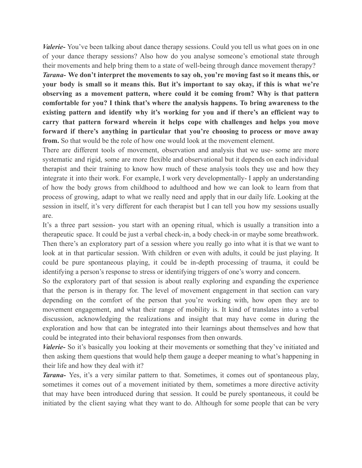*Valerie*-You've been talking about dance therapy sessions. Could you tell us what goes on in one of your dance therapy sessions? Also how do you analyse someone's emotional state through their movements and help bring them to a state of well-being through dance movement therapy?

*Tarana-* **We don't interpret the movements to say oh, you're moving fast so it means this, or your body is small so it means this. But it's important to say okay, if this is what we're observing as a movement pattern, where could it be coming from? Why is that pattern comfortable for you? I think that's where the analysis happens. To bring awareness to the existing pattern and identify why it's working for you and if there's an efficient way to carry that pattern forward wherein it helps cope with challenges and helps you move forward if there's anything in particular that you're choosing to process or move away from.** So that would be the role of how one would look at the movement element.

There are different tools of movement, observation and analysis that we use- some are more systematic and rigid, some are more flexible and observational but it depends on each individual therapist and their training to know how much of these analysis tools they use and how they integrate it into their work. For example, I work very developmentally- I apply an understanding of how the body grows from childhood to adulthood and how we can look to learn from that process of growing, adapt to what we really need and apply that in our daily life. Looking at the session in itself, it's very different for each therapist but I can tell you how my sessions usually are.

It's a three part session- you start with an opening ritual, which is usually a transition into a therapeutic space. It could be just a verbal check-in, a body check-in or maybe some breathwork. Then there's an exploratory part of a session where you really go into what it is that we want to look at in that particular session. With children or even with adults, it could be just playing. It could be pure spontaneous playing, it could be in-depth processing of trauma, it could be identifying a person's response to stress or identifying triggers of one's worry and concern.

So the exploratory part of that session is about really exploring and expanding the experience that the person is in therapy for. The level of movement engagement in that section can vary depending on the comfort of the person that you're working with, how open they are to movement engagement, and what their range of mobility is. It kind of translates into a verbal discussion, acknowledging the realizations and insight that may have come in during the exploration and how that can be integrated into their learnings about themselves and how that could be integrated into their behavioral responses from then onwards.

*Valerie*- So it's basically you looking at their movements or something that they've initiated and then asking them questions that would help them gauge a deeper meaning to what's happening in their life and how they deal with it?

*Tarana-* Yes, it's a very similar pattern to that. Sometimes, it comes out of spontaneous play, sometimes it comes out of a movement initiated by them, sometimes a more directive activity that may have been introduced during that session. It could be purely spontaneous, it could be initiated by the client saying what they want to do. Although for some people that can be very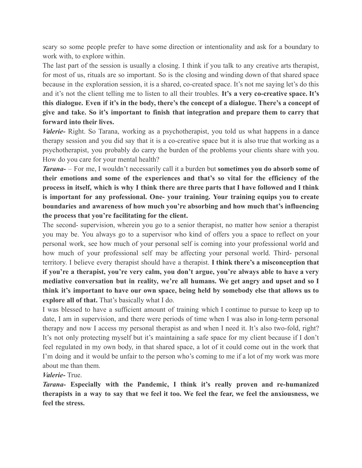scary so some people prefer to have some direction or intentionality and ask for a boundary to work with, to explore within.

The last part of the session is usually a closing. I think if you talk to any creative arts therapist, for most of us, rituals are so important. So is the closing and winding down of that shared space because in the exploration session, it is a shared, co-created space. It's not me saying let's do this and it's not the client telling me to listen to all their troubles. **It's a very co-creative space. It's this dialogue. Even if it's in the body, there's the concept of a dialogue. There's a concept of give and take. So it's important to finish that integration and prepare them to carry that forward into their lives.**

*Valerie-* Right. So Tarana, working as a psychotherapist, you told us what happens in a dance therapy session and you did say that it is a co-creative space but it is also true that working as a psychotherapist, you probably do carry the burden of the problems your clients share with you. How do you care for your mental health?

*Tarana-* – For me, I wouldn't necessarily call it a burden but **sometimes you do absorb some of their emotions and some of the experiences and that's so vital for the efficiency of the** process in itself, which is why I think there are three parts that I have followed and I think **is important for any professional. One- your training. Your training equips you to create boundaries and awareness of how much you're absorbing and how much that's influencing the process that you're facilitating for the client.**

The second- supervision, wherein you go to a senior therapist, no matter how senior a therapist you may be. You always go to a supervisor who kind of offers you a space to reflect on your personal work, see how much of your personal self is coming into your professional world and how much of your professional self may be affecting your personal world. Third- personal territory. I believe every therapist should have a therapist. **I think there's a misconception that if you're a therapist, you're very calm, you don't argue, you're always able to have a very mediative conversation but in reality, we're all humans. We get angry and upset and so I think it's important to have our own space, being held by somebody else that allows us to explore all of that.** That's basically what I do.

I was blessed to have a sufficient amount of training which I continue to pursue to keep up to date, I am in supervision, and there were periods of time when I was also in long-term personal therapy and now I access my personal therapist as and when I need it. It's also two-fold, right? It's not only protecting myself but it's maintaining a safe space for my client because if I don't feel regulated in my own body, in that shared space, a lot of it could come out in the work that I'm doing and it would be unfair to the person who's coming to me if a lot of my work was more about me than them.

*Valerie-* True.

*Tarana-* **Especially with the Pandemic, I think it's really proven and re-humanized** therapists in a way to say that we feel it too. We feel the fear, we feel the anxiousness, we **feel the stress.**